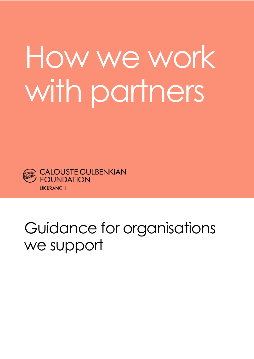# How we work with partners



## Guidance for organisations we support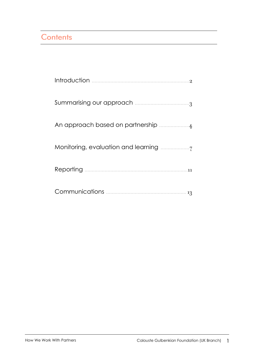## Contents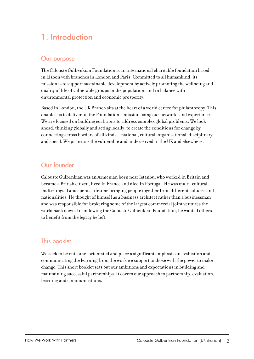## 1. Introduction

## Our purpose

The Calouste Gulbenkian Foundation is an international charitable foundation based in Lisbon with branches in London and Paris. Committed to all humankind, its mission is to support sustainable development by actively promoting the wellbeing and quality of life of vulnerable groups in the population, and in balance with environmental protection and economic prosperity.

Based in London, the UK Branch sits at the heart of a world centre for philanthropy. This enables us to deliver on the Foundation's mission using our networks and experience. We are focused on building coalitions to address complex global problems. We look ahead, thinking globally and acting locally, to create the conditions for change by connecting across borders of all kinds – national, cultural, organisational, disciplinary and social. We prioritise the vulnerable and underserved in the UK and elsewhere.

## Our founder

Calouste Gulbenkian was an Armenian born near Istanbul who worked in Britain and became a British citizen, lived in France and died in Portugal. He was multi-cultural, multi-lingual and spent a lifetime bringing people together from different cultures and nationalities. He thought of himself as a business architect rather than a businessman and was responsible for brokering some of the largest commercial joint ventures the world has known. In endowing the Calouste Gulbenkian Foundation, he wanted others to benefit from the legacy he left.

## This booklet

We seek to be outcome-orientated and place a significant emphasis on evaluation and communicating the learning from the work we support to those with the power to make change. This short booklet sets out our ambitions and expectations in building and maintaining successful partnerships. It covers our approach to partnership, evaluation, learning and communications.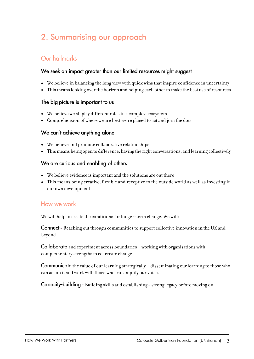## 2. Summarising our approach

## Our hallmarks

#### We seek an impact greater than our limited resources might suggest

- We believe in balancing the long view with quick wins that inspire confidence in uncertainty
- This means looking over the horizon and helping each other to make the best use of resources

#### The big picture is important to us

- We believe we all play different roles in a complex ecosystem
- Comprehension of where we are best we're placed to act and join the dots

#### We can't achieve anything alone

- We believe and promote collaborative relationships
- This means being open to difference, having the right conversations, and learning collectively

#### We are curious and enabling of others

- We believe evidence is important and the solutions are out there
- This means being creative, flexible and receptive to the outside world as well as investing in our own development

#### How we work

We will help to create the conditions for longer-term change. We will:

**Connect** - Reaching out through communities to support collective innovation in the UK and beyond.

**Collaborate** and experiment across boundaries – working with organisations with complementary strengths to co-create change.

**Communicate** the value of our learning strategically – disseminating our learning to those who can act on it and work with those who can amplify our voice.

**Capacity-building -** Building skills and establishing a strong legacy before moving on.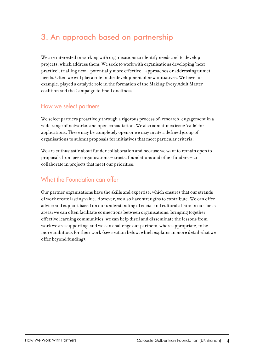## 3. An approach based on partnership

We are interested in working with organisations to identify needs and to develop projects, which address them. We seek to work with organisations developing 'next practice', trialling new - potentially more effective - approaches or addressing unmet needs. Often we will play a role in the development of new initiatives. We have for example, played a catalytic role in the formation of the Making Every Adult Matter coalition and the Campaign to End Loneliness.

## How we select partners

We select partners proactively through a rigorous process of: research, engagement in a wide range of networks, and open consultation. We also sometimes issue 'calls' for applications. These may be completely open or we may invite a defined group of organisations to submit proposals for initiatives that meet particular criteria.

We are enthusiastic about funder collaboration and because we want to remain open to proposals from peer organisations – trusts, foundations and other funders – to collaborate in projects that meet our priorities.

## What the Foundation can offer

Our partner organisations have the skills and expertise, which ensures that our strands of work create lasting value. However, we also have strengths to contribute. We can offer advice and support based on our understanding of social and cultural affairs in our focus areas; we can often facilitate connections between organisations, bringing together effective learning communities; we can help distil and disseminate the lessons from work we are supporting; and we can challenge our partners, where appropriate, to be more ambitious for their work (see section below, which explains in more detail what we offer beyond funding).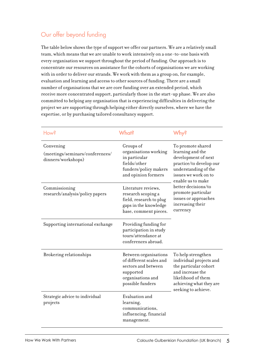## Our offer beyond funding

The table below shows the type of support we offer our partners. We are a relatively small team, which means that we are unable to work intensively on a one-to-one basis with every organisation we support throughout the period of funding. Our approach is to concentrate our resources on assistance for the cohorts of organisations we are working with in order to deliver our strands. We work with them as a group on, for example, evaluation and learning and access to other sources of funding. There are a small number of organisations that we are core funding over an extended period, which receive more concentrated support, particularly those in the start-up phase. We are also committed to helping any organisation that is experiencing difficulties in delivering the project we are supporting through helping either directly ourselves, where we have the expertise, or by purchasing tailored consultancy support.

| How?                                                               | What?                                                                                                                         | <b>Mh</b> vs                                                                                                                                                                                                                                                      |
|--------------------------------------------------------------------|-------------------------------------------------------------------------------------------------------------------------------|-------------------------------------------------------------------------------------------------------------------------------------------------------------------------------------------------------------------------------------------------------------------|
| Convening<br>(meetings/seminars/conferences/<br>dinners/workshops) | Groups of<br>organisations working<br>in particular<br>fields/other<br>funders/policy makers<br>and opinion formers           | To promote shared<br>learning and the<br>development of next<br>practice/to develop our<br>understanding of the<br>issues we work on to<br>enable us to make<br>better decisions/to<br>promote particular<br>issues or approaches<br>increasing their<br>currency |
| Commissioning<br>research/analysis/policy papers                   | Literature reviews,<br>research scoping a<br>field, research to plug<br>gaps in the knowledge<br>base, comment pieces.        |                                                                                                                                                                                                                                                                   |
| Supporting international exchange                                  | Providing funding for<br>participation in study<br>tours/attendance at<br>conferences abroad.                                 |                                                                                                                                                                                                                                                                   |
| Brokering relationships                                            | Between organisations<br>of different scales and<br>sectors and between<br>supported<br>organisations and<br>possible funders | To help strengthen<br>individual projects and<br>the particular cohort<br>and increase the<br>likelihood of them<br>achieving what they are<br>seeking to achieve.                                                                                                |
| Strategic advice to individual<br>projects                         | Evaluation and<br>learning,<br>communications,<br>influencing, financial<br>management.                                       |                                                                                                                                                                                                                                                                   |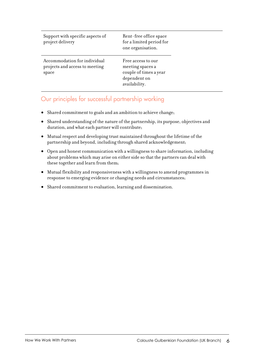| Support with specific aspects of<br>project delivery                    | Rent-free office space<br>for a limited period for<br>one organisation.                           |
|-------------------------------------------------------------------------|---------------------------------------------------------------------------------------------------|
| Accommodation for individual<br>projects and access to meeting<br>space | Free access to our<br>meeting spaces a<br>couple of times a year<br>dependent on<br>availability. |

## Our principles for successful partnership working

- Shared commitment to goals and an ambition to achieve change;
- Shared understanding of the nature of the partnership, its purpose, objectives and duration, and what each partner will contribute;
- Mutual respect and developing trust maintained throughout the lifetime of the partnership and beyond, including through shared acknowledgement;
- Open and honest communication with a willingness to share information, including about problems which may arise on either side so that the partners can deal with these together and learn from them;
- Mutual flexibility and responsiveness with a willingness to amend programmes in response to emerging evidence or changing needs and circumstances;
- Shared commitment to evaluation, learning and dissemination.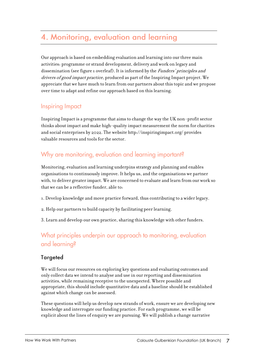## 4. Monitoring, evaluation and learning

Our approach is based on embedding evaluation and learning into our three main activities: programme or strand development, delivery and work on legacy and dissemination (see figure 1 overleaf). It is informed by the *Funders' principles and* drivers of good impact practice, produced as part of the Inspiring Impact project. We appreciate that we have much to learn from our partners about this topic and we propose over time to adapt and refine our approach based on this learning.

## **Inspiring Impact**

Inspiring Impact is a programme that aims to change the way the UK non-profit sector thinks about impact and make high-quality impact measurement the norm for charities and social enterprises by 2022. The website http://inspiringimpact.org/ provides valuable resources and tools for the sector.

## Why are monitoring, evaluation and learning important?

Monitoring, evaluation and learning underpins strategy and planning and enables organisations to continuously improve. It helps us, and the organisations we partner with, to deliver greater impact. We are concerned to evaluate and learn from our work so that we can be a reflective funder, able to:

- 1. Develop knowledge and move practice forward, thus contributing to a wider legacy.
- 2. Help our partners to build capacity by facilitating peer learning.
- 3. Learn and develop our own practice, sharing this knowledge with other funders.

## What principles underpin our approach to monitoring, evaluation and learning?

#### **Targeted**

We will focus our resources on exploring key questions and evaluating outcomes and only collect data we intend to analyse and use in our reporting and dissemination activities, while remaining receptive to the unexpected. Where possible and appropriate, this should include quantitative data and a baseline should be established against which change can be assessed.

These questions will help us develop new strands of work, ensure we are developing new knowledge and interrogate our funding practice. For each programme, we will be explicit about the lines of enquiry we are pursuing. We will publish a change narrative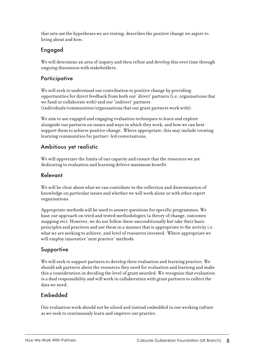that sets out the hypotheses we are testing, describes the positive change we aspire to bring about and how.

### Engaged

We will determine an area of inquiry and then refine and develop this over time through ongoing discussion with stakeholders.

#### Participative

We will seek to understand our contribution to positive change by providing opportunities for direct feedback from both our 'direct' partners (i.e. organisations that we fund or collaborate with) and our 'indirect' partners (individuals/communities/organisations that our grant partners work with).

We aim to use engaged and engaging evaluation techniques to learn and explore alongside our partners on issues and ways in which they work, and how we can best support them to achieve positive change. Where appropriate, this may include creating learning communities for partner-led conversations.

#### Ambitious yet realistic

We will appreciate the limits of our capacity and ensure that the resources we are dedicating to evaluation and learning deliver maximum benefit.

#### Relevant

We will be clear about what we can contribute to the collection and dissemination of knowledge on particular issues and whether we will work alone or with other expert organisations.

Appropriate methods will be used to answer questions for specific programmes. We base our approach on tried and tested methodologies (a theory of change, outcomes mapping etc). However, we do not follow these unconditionally but take their basic principles and practices and use them in a manner that is appropriate to the activity i.e. what we are seeking to achieve, and level of resources invested. Where appropriate we will employ innovative 'next practice' methods.

#### Supportive

We will seek to support partners to develop their evaluation and learning practice. We should ask partners about the resources they need for evaluation and learning and make this a consideration in deciding the level of grant awarded. We recognise that evaluation is a dual responsibility and will work in collaboration with grant partners to collect the data we need.

#### Embedded

Our evaluation work should not be siloed and instead embedded in our working culture as we seek to continuously learn and improve our practice.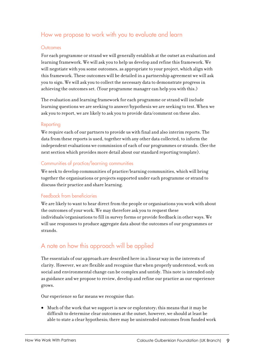## How we propose to work with you to evaluate and learn

#### Outcomes

For each programme or strand we will generally establish at the outset an evaluation and learning framework. We will ask you to help us develop and refine this framework. We will negotiate with you some outcomes, as appropriate to your project, which align with this framework. These outcomes will be detailed in a partnership agreement we will ask you to sign. We will ask you to collect the necessary data to demonstrate progress in achieving the outcomes set. (Your programme manager can help you with this.)

The evaluation and learning framework for each programme or strand will include learning questions we are seeking to answer/hypothesis we are seeking to test. When we ask you to report, we are likely to ask you to provide data/comment on these also.

#### Reporting

We require each of our partners to provide us with final and also interim reports. The data from these reports is used, together with any other data collected, to inform the independent evaluations we commission of each of our programmes or strands. (See the next section which provides more detail about our standard reporting template).

#### Communities of practice/learning communities

We seek to develop communities of practice/learning communities, which will bring together the organisations or projects supported under each programme or strand to discuss their practice and share learning.

#### Feedback from beneficiaries

We are likely to want to hear direct from the people or organisations you work with about the outcomes of your work. We may therefore ask you to request these individuals/organisations to fill in survey forms or provide feedback in other ways. We will use responses to produce aggregate data about the outcomes of our programmes or strands.

#### A note on how this approach will be applied

The essentials of our approach are described here in a linear way in the interests of clarity. However, we are flexible and recognise that when properly understood, work on social and environmental change can be complex and untidy. This note is intended only as guidance and we propose to review, develop and refine our practice as our experience grows.

Our experience so far means we recognise that:

• Much of the work that we support is new or exploratory; this means that it may be difficult to determine clear outcomes at the outset, however, we should at least be able to state a clear hypothesis; there may be unintended outcomes from funded work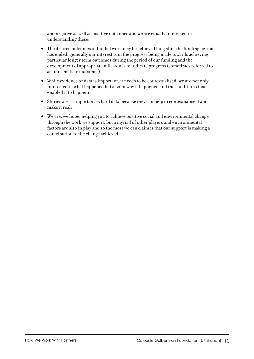and negative as well as positive outcomes and we are equally interested in understanding these;

- The desired outcomes of funded work may be achieved long after the funding period has ended; generally our interest is in the progress being made towards achieving particular longer term outcomes during the period of our funding and the development of appropriate milestones to indicate progress (sometimes referred to as intermediate outcomes);
- While evidence or data is important, it needs to be contextualised, we are not only interested in what happened but also in why it happened and the conditions that enabled it to happen;
- Stories are as important as hard data because they can help to contextualise it and make it real;
- We are, we hope, helping you to achieve positive social and environmental change through the work we support, but a myriad of other players and environmental factors are also in play and so the most we can claim is that our support is making a contribution to the change achieved.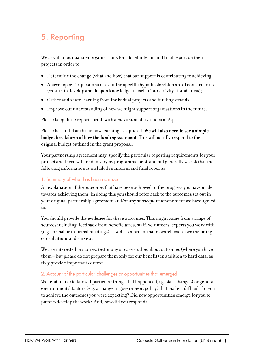## 5. Reporting

We ask all of our partner organisations for a brief interim and final report on their projects in order to:

- Determine the change (what and how) that our support is contributing to achieving;
- Answer specific questions or examine specific hypothesis which are of concern to us (we aim to develop and deepen knowledge in each of our activity strand areas);
- Gather and share learning from individual projects and funding strands;
- Improve our understanding of how we might support organisations in the future.

Please keep these reports brief, with a maximum of five sides of A4.

Please be candid as that is how learning is captured. We will also need to see a simple budget breakdown of how the funding was spent. This will usually respond to the original budget outlined in the grant proposal.

Your partnership agreement may specify the particular reporting requirements for your project and these will tend to vary by programme or strand but generally we ask that the following information is included in interim and final reports:

#### 1. Summary of what has been achieved

An explanation of the outcomes that have been achieved or the progress you have made towards achieving them. In doing this you should refer back to the outcomes set out in your original partnership agreement and/or any subsequent amendment we have agreed to.

You should provide the evidence for these outcomes. This might come from a range of sources including: feedback from beneficiaries, staff, volunteers, experts you work with (e.g. formal or informal meetings) as well as more formal research exercises including consultations and surveys.

We are interested in stories, testimony or case studies about outcomes (where you have them – but please do not prepare them only for our benefit) in addition to hard data, as they provide important context.

#### 2. Account of the particular challenges or opportunities that emerged

We tend to like to know if particular things that happened (e.g. staff changes) or general environmental factors (e.g. a change in government policy) that made it difficult for you to achieve the outcomes you were expecting? Did new opportunities emerge for you to pursue/develop the work? And, how did you respond?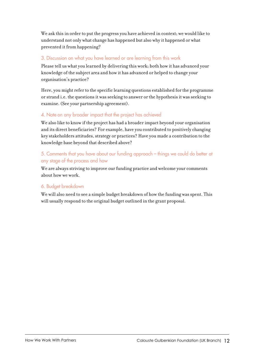We ask this in order to put the progress you have achieved in context; we would like to understand not only what change has happened but also why it happened or what prevented it from happening?

#### 3. Discussion on what you have learned or are learning from this work

Please tell us what you learned by delivering this work; both how it has advanced your knowledge of the subject area and how it has advanced or helped to change your organisation's practice?

Here, you might refer to the specific learning questions established for the programme or strand i.e. the questions it was seeking to answer or the hypothesis it was seeking to examine. (See your partnership agreement).

#### 4. Note on any broader impact that the project has achieved

We also like to know if the project has had a broader impact beyond your organisation and its direct beneficiaries? For example, have you contributed to positively changing key stakeholders attitudes, strategy or practices? Have you made a contribution to the knowledge base beyond that described above?

#### 5. Comments that you have about our funding approach - things we could do better at any stage of the process and how

We are always striving to improve our funding practice and welcome your comments about how we work.

#### 6. Budget breakdown

We will also need to see a simple budget breakdown of how the funding was spent. This will usually respond to the original budget outlined in the grant proposal.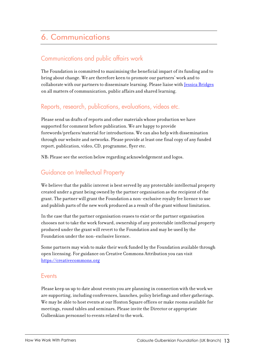## **6. Communications**

## Communications and public affairs work

The Foundation is committed to maximising the beneficial impact of its funding and to bring about change. We are therefore keen to promote our partners' work and to collaborate with our partners to disseminate learning. Please liaise with [Jessica Bridges](mailto:jbridges@gulbenkian.org.uk) on all matters of communication, public affairs and shared learning.

#### Reports, research, publications, evaluations, videos etc.

Please send us drafts of reports and other materials whose production we have supported for comment before publication. We are happy to provide forewords/prefaces/material for introductions. We can also help with dissemination through our website and networks. Please provide at least one final copy of any funded report, publication, video, CD, programme, flyer etc.

NB: Please see the section below regarding acknowledgement and logos.

## Guidance on Intellectual Property

We believe that the public interest is best served by any protectable intellectual property created under a grant being owned by the partner organisation as the recipient of the grant. The partner will grant the Foundation a non-exclusive royalty fee licence to use and publish parts of the new work produced as a result of the grant without limitation.

In the case that the partner organisation ceases to exist or the partner organisation chooses not to take the work forward, ownership of any protectable intellectual property produced under the grant will revert to the Foundation and may be used by the Foundation under the non-exclusive licence.

Some partners may wish to make their work funded by the Foundation available through open licensing. For guidance on Creative Commons Attribution you can visit [https://creativecommons.org](https://creativecommons.org/) 

#### **Events**

Please keep us up to date about events you are planning in connection with the work we are supporting, including conferences, launches, policy briefings and other gatherings. We may be able to host events at our Hoxton Square offices or make rooms available for meetings, round tables and seminars. Please invite the Director or appropriate Gulbenkian personnel to events related to the work.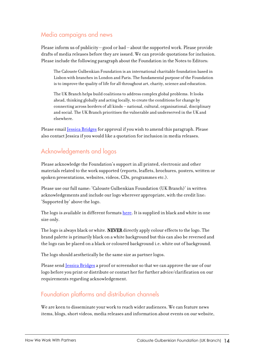## Media campaigns and news

Please inform us of publicity - good or bad - about the supported work. Please provide drafts of media releases before they are issued. We can provide quotations for inclusion. Please include the following paragraph about the Foundation in the Notes to Editors:

The Calouste Gulbenkian Foundation is an international charitable foundation based in Lisbon with branches in London and Paris. The fundamental purpose of the Foundation is to improve the quality of life for all throughout art, charity, science and education.

The UK Branch helps build coalitions to address complex global problems. It looks ahead, thinking globally and acting locally, to create the conditions for change by connecting across borders of all kinds – national, cultural, organisational, disciplinary and social. The UK Branch prioritises the vulnerable and underserved in the UK and elsewhere.

Please email **[Jessica Bridges](mailto:jbridges@gulbenkian.org.uk)** for approval if you wish to amend this paragraph. Please also contact Jessica if you would like a quotation for inclusion in media releases.

## Acknowledgements and logos

Please acknowledge the Foundation's support in all printed, electronic and other materials related to the work supported (reports, leaflets, brochures, posters, written or spoken presentations, websites, videos, CDs, programmes etc.).

Please use our full name: 'Calouste Gulbenkian Foundation (UK Branch)' in written acknowledgements and include our logo wherever appropriate, with the credit line: 'Supported by' above the logo.

The logo is available in different format[s here.](https://www.dropbox.com/sh/b3zg9djs9gxj6o0/AADxt6r4dduFItgQXGfvFgZIa?dl=0) It is supplied in black and white in one size only.

The logo is always black or white. NEVER directly apply colour effects to the logo. The brand palette is primarily black on a white background but this can also be reversed and the logo can be placed on a black or coloured background i.e. white out of background.

The logo should aesthetically be the same size as partner logos.

Please send <u>[Jessica Bridges](mailto:jbridges@gulbenkian.org.uk)</u> a proof or screenshot so that we can approve the use of our logo before you print or distribute or contact her for further advice/clarification on our requirements regarding acknowledgement.

#### Foundation platforms and distribution channels

We are keen to disseminate your work to reach wider audiences. We can feature news items, blogs, short videos, media releases and information about events on our website,